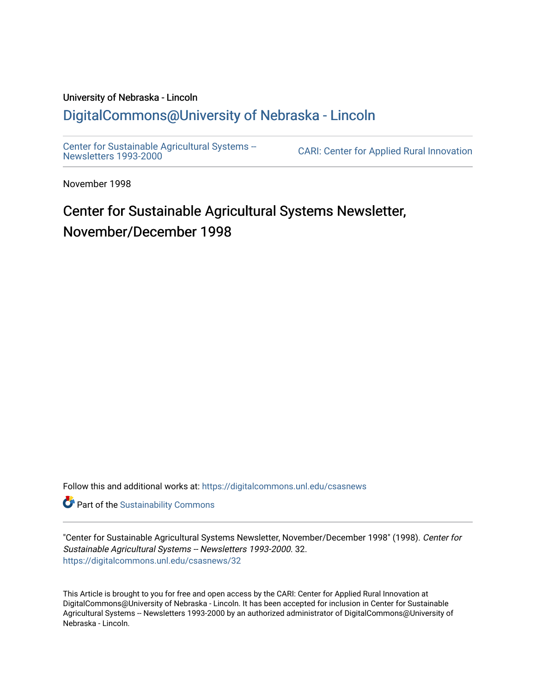#### University of Nebraska - Lincoln [DigitalCommons@University of Nebraska - Lincoln](https://digitalcommons.unl.edu/)

[Center for Sustainable Agricultural Systems --](https://digitalcommons.unl.edu/csasnews)<br>Newsletters 1993-2000

CARI: Center for Applied Rural Innovation

November 1998

# Center for Sustainable Agricultural Systems Newsletter, November/December 1998

Follow this and additional works at: [https://digitalcommons.unl.edu/csasnews](https://digitalcommons.unl.edu/csasnews?utm_source=digitalcommons.unl.edu%2Fcsasnews%2F32&utm_medium=PDF&utm_campaign=PDFCoverPages) 

**Part of the [Sustainability Commons](http://network.bepress.com/hgg/discipline/1031?utm_source=digitalcommons.unl.edu%2Fcsasnews%2F32&utm_medium=PDF&utm_campaign=PDFCoverPages)** 

"Center for Sustainable Agricultural Systems Newsletter, November/December 1998" (1998). Center for Sustainable Agricultural Systems -- Newsletters 1993-2000. 32. [https://digitalcommons.unl.edu/csasnews/32](https://digitalcommons.unl.edu/csasnews/32?utm_source=digitalcommons.unl.edu%2Fcsasnews%2F32&utm_medium=PDF&utm_campaign=PDFCoverPages) 

This Article is brought to you for free and open access by the CARI: Center for Applied Rural Innovation at DigitalCommons@University of Nebraska - Lincoln. It has been accepted for inclusion in Center for Sustainable Agricultural Systems -- Newsletters 1993-2000 by an authorized administrator of DigitalCommons@University of Nebraska - Lincoln.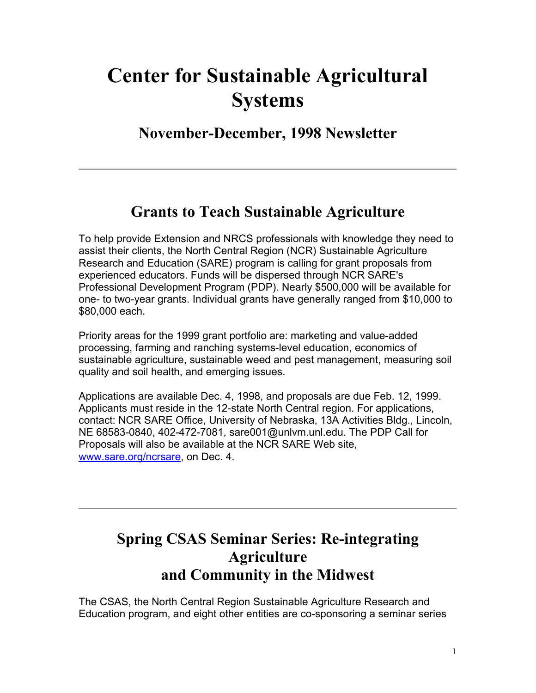# **Center for Sustainable Agricultural Systems**

**November-December, 1998 Newsletter** 

### **Grants to Teach Sustainable Agriculture**

To help provide Extension and NRCS professionals with knowledge they need to assist their clients, the North Central Region (NCR) Sustainable Agriculture Research and Education (SARE) program is calling for grant proposals from experienced educators. Funds will be dispersed through NCR SARE's Professional Development Program (PDP). Nearly \$500,000 will be available for one- to two-year grants. Individual grants have generally ranged from \$10,000 to \$80,000 each.

Priority areas for the 1999 grant portfolio are: marketing and value-added processing, farming and ranching systems-level education, economics of sustainable agriculture, sustainable weed and pest management, measuring soil quality and soil health, and emerging issues.

Applications are available Dec. 4, 1998, and proposals are due Feb. 12, 1999. Applicants must reside in the 12-state North Central region. For applications, contact: NCR SARE Office, University of Nebraska, 13A Activities Bldg., Lincoln, NE 68583-0840, 402-472-7081, sare001@unlvm.unl.edu. The PDP Call for Proposals will also be available at the NCR SARE Web site, www.sare.org/ncrsare, on Dec. 4.

# **Spring CSAS Seminar Series: Re-integrating Agriculture and Community in the Midwest**

The CSAS, the North Central Region Sustainable Agriculture Research and Education program, and eight other entities are co-sponsoring a seminar series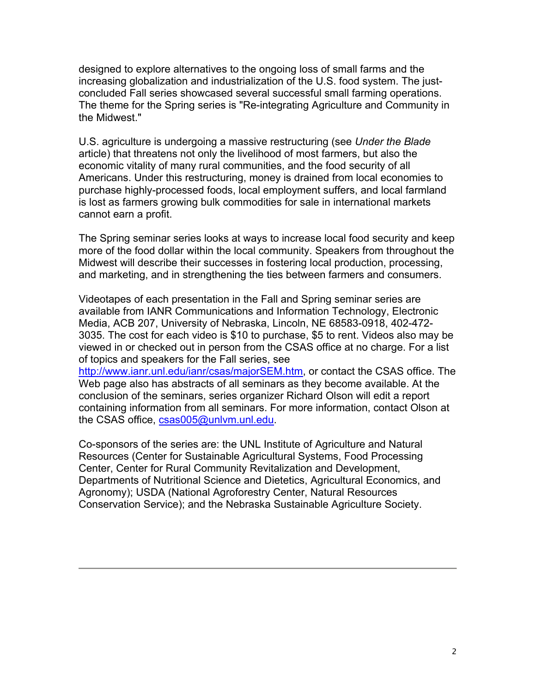designed to explore alternatives to the ongoing loss of small farms and the increasing globalization and industrialization of the U.S. food system. The justconcluded Fall series showcased several successful small farming operations. The theme for the Spring series is "Re-integrating Agriculture and Community in the Midwest."

U.S. agriculture is undergoing a massive restructuring (see *Under the Blade* article) that threatens not only the livelihood of most farmers, but also the economic vitality of many rural communities, and the food security of all Americans. Under this restructuring, money is drained from local economies to purchase highly-processed foods, local employment suffers, and local farmland is lost as farmers growing bulk commodities for sale in international markets cannot earn a profit.

The Spring seminar series looks at ways to increase local food security and keep more of the food dollar within the local community. Speakers from throughout the Midwest will describe their successes in fostering local production, processing, and marketing, and in strengthening the ties between farmers and consumers.

Videotapes of each presentation in the Fall and Spring seminar series are available from IANR Communications and Information Technology, Electronic Media, ACB 207, University of Nebraska, Lincoln, NE 68583-0918, 402-472- 3035. The cost for each video is \$10 to purchase, \$5 to rent. Videos also may be viewed in or checked out in person from the CSAS office at no charge. For a list of topics and speakers for the Fall series, see

http://www.ianr.unl.edu/ianr/csas/majorSEM.htm, or contact the CSAS office. The Web page also has abstracts of all seminars as they become available. At the conclusion of the seminars, series organizer Richard Olson will edit a report containing information from all seminars. For more information, contact Olson at the CSAS office, csas005@unlvm.unl.edu.

Co-sponsors of the series are: the UNL Institute of Agriculture and Natural Resources (Center for Sustainable Agricultural Systems, Food Processing Center, Center for Rural Community Revitalization and Development, Departments of Nutritional Science and Dietetics, Agricultural Economics, and Agronomy); USDA (National Agroforestry Center, Natural Resources Conservation Service); and the Nebraska Sustainable Agriculture Society.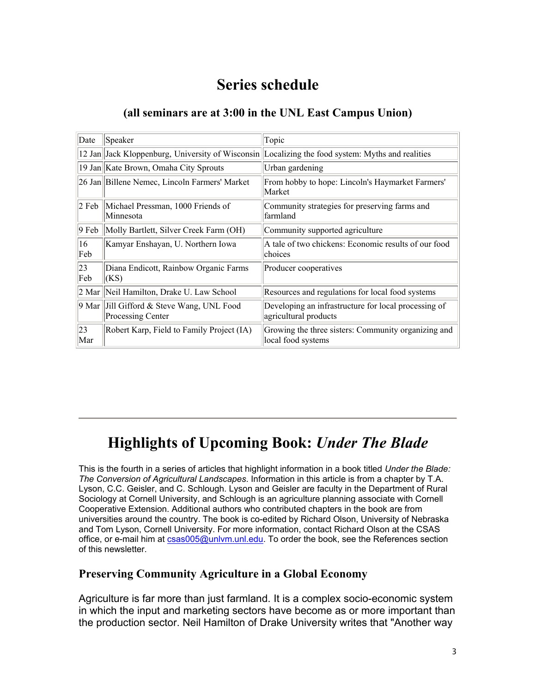## **Series schedule**

#### **(all seminars are at 3:00 in the UNL East Campus Union)**

| Date      | Speaker                                                          | Topic                                                                                            |  |  |
|-----------|------------------------------------------------------------------|--------------------------------------------------------------------------------------------------|--|--|
|           |                                                                  | 12 Jan Jack Kloppenburg, University of Wisconsin Localizing the food system: Myths and realities |  |  |
|           | 19 Jan Kate Brown, Omaha City Sprouts                            | Urban gardening                                                                                  |  |  |
|           | 26 Jan Billene Nemec, Lincoln Farmers' Market                    | From hobby to hope: Lincoln's Haymarket Farmers'<br>Market                                       |  |  |
| 2 Feb     | Michael Pressman, 1000 Friends of<br>Minnesota                   | Community strategies for preserving farms and<br>lfarmland                                       |  |  |
| $9$ Feb   | Molly Bartlett, Silver Creek Farm (OH)                           | Community supported agriculture                                                                  |  |  |
| 16<br>Feb | Kamyar Enshayan, U. Northern Iowa                                | A tale of two chickens: Economic results of our food<br>choices                                  |  |  |
| 23<br>Feb | Diana Endicott, Rainbow Organic Farms<br>(KS)                    | Producer cooperatives                                                                            |  |  |
|           | 2 Mar   Neil Hamilton, Drake U. Law School                       | Resources and regulations for local food systems                                                 |  |  |
|           | 9 Mar   Jill Gifford & Steve Wang, UNL Food<br>Processing Center | Developing an infrastructure for local processing of<br>agricultural products                    |  |  |
| 23<br>Mar | Robert Karp, Field to Family Project (IA)                        | Growing the three sisters: Community organizing and<br>local food systems                        |  |  |

# **Highlights of Upcoming Book:** *Under The Blade*

This is the fourth in a series of articles that highlight information in a book titled *Under the Blade: The Conversion of Agricultural Landscapes*. Information in this article is from a chapter by T.A. Lyson, C.C. Geisler, and C. Schlough. Lyson and Geisler are faculty in the Department of Rural Sociology at Cornell University, and Schlough is an agriculture planning associate with Cornell Cooperative Extension. Additional authors who contributed chapters in the book are from universities around the country. The book is co-edited by Richard Olson, University of Nebraska and Tom Lyson, Cornell University. For more information, contact Richard Olson at the CSAS office, or e-mail him at csas005@unlvm.unl.edu. To order the book, see the References section of this newsletter.

#### **Preserving Community Agriculture in a Global Economy**

Agriculture is far more than just farmland. It is a complex socio-economic system in which the input and marketing sectors have become as or more important than the production sector. Neil Hamilton of Drake University writes that "Another way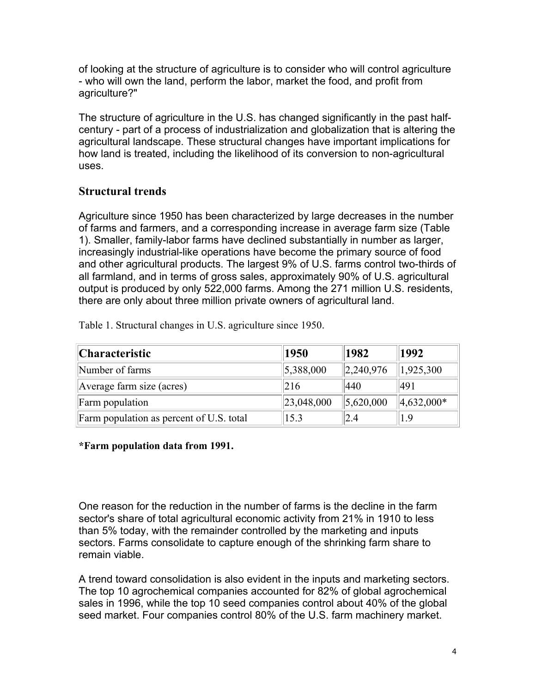of looking at the structure of agriculture is to consider who will control agriculture - who will own the land, perform the labor, market the food, and profit from agriculture?"

The structure of agriculture in the U.S. has changed significantly in the past halfcentury - part of a process of industrialization and globalization that is altering the agricultural landscape. These structural changes have important implications for how land is treated, including the likelihood of its conversion to non-agricultural uses.

#### **Structural trends**

Agriculture since 1950 has been characterized by large decreases in the number of farms and farmers, and a corresponding increase in average farm size (Table 1). Smaller, family-labor farms have declined substantially in number as larger, increasingly industrial-like operations have become the primary source of food and other agricultural products. The largest 9% of U.S. farms control two-thirds of all farmland, and in terms of gross sales, approximately 90% of U.S. agricultural output is produced by only 522,000 farms. Among the 271 million U.S. residents, there are only about three million private owners of agricultural land.

Table 1. Structural changes in U.S. agriculture since 1950.

| Characteristic                           | 1950             | 1982                    | 1992                      |
|------------------------------------------|------------------|-------------------------|---------------------------|
| Number of farms                          | 5,388,000        | $\ 2,240,976\ $         | $\vert 1, 925, 300 \vert$ |
| Average farm size (acres)                | 216              | 440                     | 491                       |
| <b>Farm</b> population                   | $\ 23,048,000\ $ | $\vert 5,620,000 \vert$ | $\parallel$ 4,632,000*    |
| Farm population as percent of U.S. total | 15.3             | 2.4                     | 1.9                       |

**\*Farm population data from 1991.**

One reason for the reduction in the number of farms is the decline in the farm sector's share of total agricultural economic activity from 21% in 1910 to less than 5% today, with the remainder controlled by the marketing and inputs sectors. Farms consolidate to capture enough of the shrinking farm share to remain viable.

A trend toward consolidation is also evident in the inputs and marketing sectors. The top 10 agrochemical companies accounted for 82% of global agrochemical sales in 1996, while the top 10 seed companies control about 40% of the global seed market. Four companies control 80% of the U.S. farm machinery market.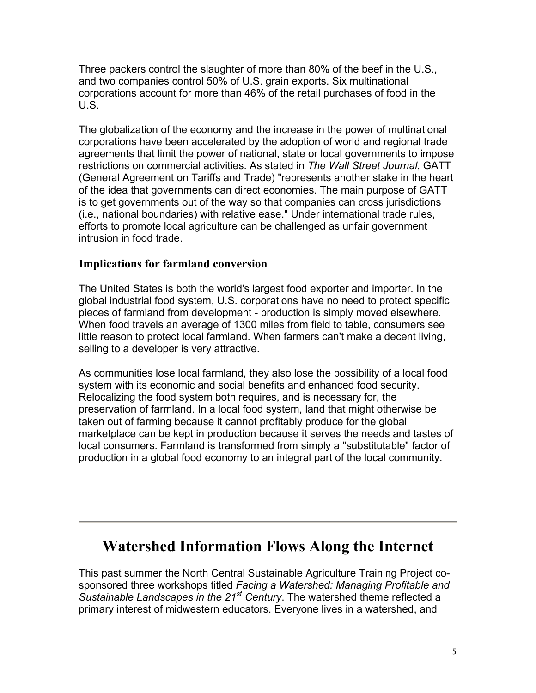Three packers control the slaughter of more than 80% of the beef in the U.S., and two companies control 50% of U.S. grain exports. Six multinational corporations account for more than 46% of the retail purchases of food in the U.S.

The globalization of the economy and the increase in the power of multinational corporations have been accelerated by the adoption of world and regional trade agreements that limit the power of national, state or local governments to impose restrictions on commercial activities. As stated in *The Wall Street Journal*, GATT (General Agreement on Tariffs and Trade) "represents another stake in the heart of the idea that governments can direct economies. The main purpose of GATT is to get governments out of the way so that companies can cross jurisdictions (i.e., national boundaries) with relative ease." Under international trade rules, efforts to promote local agriculture can be challenged as unfair government intrusion in food trade.

#### **Implications for farmland conversion**

The United States is both the world's largest food exporter and importer. In the global industrial food system, U.S. corporations have no need to protect specific pieces of farmland from development - production is simply moved elsewhere. When food travels an average of 1300 miles from field to table, consumers see little reason to protect local farmland. When farmers can't make a decent living, selling to a developer is very attractive.

As communities lose local farmland, they also lose the possibility of a local food system with its economic and social benefits and enhanced food security. Relocalizing the food system both requires, and is necessary for, the preservation of farmland. In a local food system, land that might otherwise be taken out of farming because it cannot profitably produce for the global marketplace can be kept in production because it serves the needs and tastes of local consumers. Farmland is transformed from simply a "substitutable" factor of production in a global food economy to an integral part of the local community.

## **Watershed Information Flows Along the Internet**

This past summer the North Central Sustainable Agriculture Training Project cosponsored three workshops titled *Facing a Watershed: Managing Profitable and Sustainable Landscapes in the 21st Century*. The watershed theme reflected a primary interest of midwestern educators. Everyone lives in a watershed, and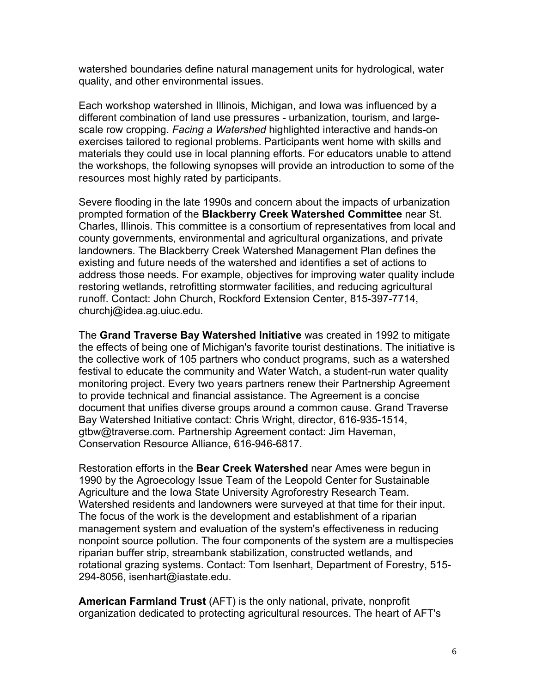watershed boundaries define natural management units for hydrological, water quality, and other environmental issues.

Each workshop watershed in Illinois, Michigan, and Iowa was influenced by a different combination of land use pressures - urbanization, tourism, and largescale row cropping. *Facing a Watershed* highlighted interactive and hands-on exercises tailored to regional problems. Participants went home with skills and materials they could use in local planning efforts. For educators unable to attend the workshops, the following synopses will provide an introduction to some of the resources most highly rated by participants.

Severe flooding in the late 1990s and concern about the impacts of urbanization prompted formation of the **Blackberry Creek Watershed Committee** near St. Charles, Illinois. This committee is a consortium of representatives from local and county governments, environmental and agricultural organizations, and private landowners. The Blackberry Creek Watershed Management Plan defines the existing and future needs of the watershed and identifies a set of actions to address those needs. For example, objectives for improving water quality include restoring wetlands, retrofitting stormwater facilities, and reducing agricultural runoff. Contact: John Church, Rockford Extension Center, 815-397-7714, churchj@idea.ag.uiuc.edu.

The **Grand Traverse Bay Watershed Initiative** was created in 1992 to mitigate the effects of being one of Michigan's favorite tourist destinations. The initiative is the collective work of 105 partners who conduct programs, such as a watershed festival to educate the community and Water Watch, a student-run water quality monitoring project. Every two years partners renew their Partnership Agreement to provide technical and financial assistance. The Agreement is a concise document that unifies diverse groups around a common cause. Grand Traverse Bay Watershed Initiative contact: Chris Wright, director, 616-935-1514, gtbw@traverse.com. Partnership Agreement contact: Jim Haveman, Conservation Resource Alliance, 616-946-6817.

Restoration efforts in the **Bear Creek Watershed** near Ames were begun in 1990 by the Agroecology Issue Team of the Leopold Center for Sustainable Agriculture and the Iowa State University Agroforestry Research Team. Watershed residents and landowners were surveyed at that time for their input. The focus of the work is the development and establishment of a riparian management system and evaluation of the system's effectiveness in reducing nonpoint source pollution. The four components of the system are a multispecies riparian buffer strip, streambank stabilization, constructed wetlands, and rotational grazing systems. Contact: Tom Isenhart, Department of Forestry, 515- 294-8056, isenhart@iastate.edu.

**American Farmland Trust** (AFT) is the only national, private, nonprofit organization dedicated to protecting agricultural resources. The heart of AFT's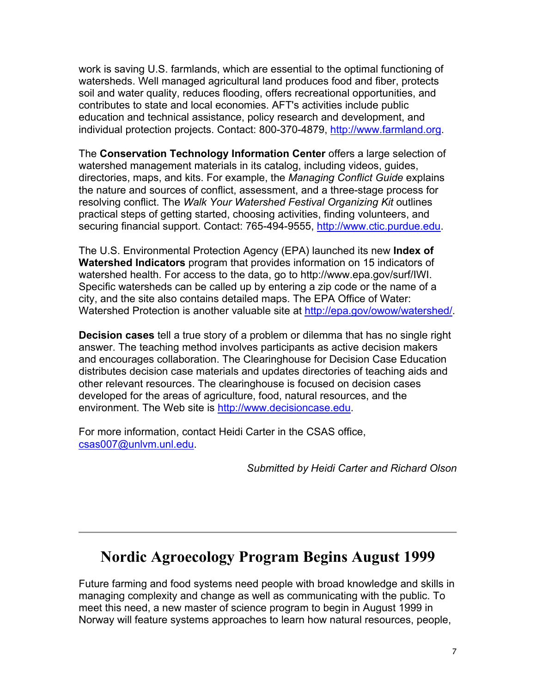work is saving U.S. farmlands, which are essential to the optimal functioning of watersheds. Well managed agricultural land produces food and fiber, protects soil and water quality, reduces flooding, offers recreational opportunities, and contributes to state and local economies. AFT's activities include public education and technical assistance, policy research and development, and individual protection projects. Contact: 800-370-4879, http://www.farmland.org.

The **Conservation Technology Information Center** offers a large selection of watershed management materials in its catalog, including videos, guides, directories, maps, and kits. For example, the *Managing Conflict Guide* explains the nature and sources of conflict, assessment, and a three-stage process for resolving conflict. The *Walk Your Watershed Festival Organizing Kit* outlines practical steps of getting started, choosing activities, finding volunteers, and securing financial support. Contact: 765-494-9555, http://www.ctic.purdue.edu.

The U.S. Environmental Protection Agency (EPA) launched its new **Index of Watershed Indicators** program that provides information on 15 indicators of watershed health. For access to the data, go to http://www.epa.gov/surf/IWI. Specific watersheds can be called up by entering a zip code or the name of a city, and the site also contains detailed maps. The EPA Office of Water: Watershed Protection is another valuable site at http://epa.gov/owow/watershed/.

**Decision cases** tell a true story of a problem or dilemma that has no single right answer. The teaching method involves participants as active decision makers and encourages collaboration. The Clearinghouse for Decision Case Education distributes decision case materials and updates directories of teaching aids and other relevant resources. The clearinghouse is focused on decision cases developed for the areas of agriculture, food, natural resources, and the environment. The Web site is http://www.decisioncase.edu.

For more information, contact Heidi Carter in the CSAS office, csas007@unlvm.unl.edu.

*Submitted by Heidi Carter and Richard Olson* 

### **Nordic Agroecology Program Begins August 1999**

Future farming and food systems need people with broad knowledge and skills in managing complexity and change as well as communicating with the public. To meet this need, a new master of science program to begin in August 1999 in Norway will feature systems approaches to learn how natural resources, people,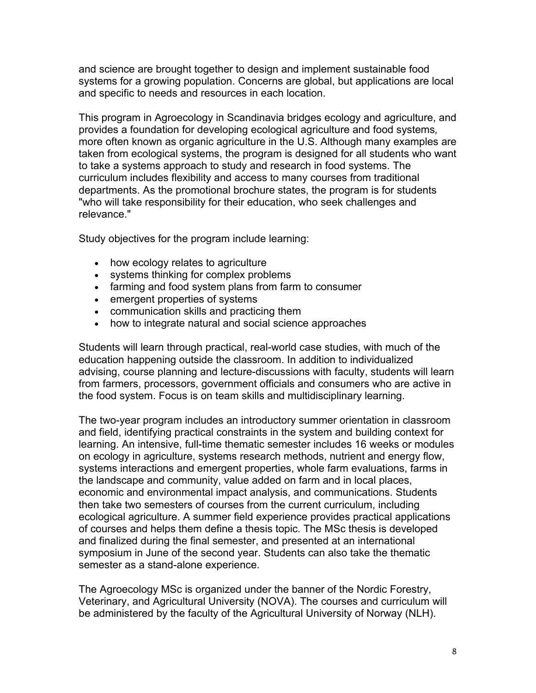and science are brought together to design and implement sustainable food systems for a growing population. Concerns are global, but applications are local and specific to needs and resources in each location.

This program in Agroecology in Scandinavia bridges ecology and agriculture, and provides a foundation for developing ecological agriculture and food systems*,*  more often known as organic agriculture in the U.S. Although many examples are taken from ecological systems, the program is designed for all students who want to take a systems approach to study and research in food systems. The curriculum includes flexibility and access to many courses from traditional departments. As the promotional brochure states, the program is for students "who will take responsibility for their education, who seek challenges and relevance."

Study objectives for the program include learning:

- how ecology relates to agriculture
- systems thinking for complex problems
- farming and food system plans from farm to consumer
- emergent properties of systems
- communication skills and practicing them
- how to integrate natural and social science approaches

Students will learn through practical, real-world case studies, with much of the education happening outside the classroom. In addition to individualized advising, course planning and lecture-discussions with faculty, students will learn from farmers, processors, government officials and consumers who are active in the food system. Focus is on team skills and multidisciplinary learning.

The two-year program includes an introductory summer orientation in classroom and field, identifying practical constraints in the system and building context for learning. An intensive, full-time thematic semester includes 16 weeks or modules on ecology in agriculture, systems research methods, nutrient and energy flow, systems interactions and emergent properties, whole farm evaluations, farms in the landscape and community, value added on farm and in local places, economic and environmental impact analysis, and communications. Students then take two semesters of courses from the current curriculum, including ecological agriculture. A summer field experience provides practical applications of courses and helps them define a thesis topic. The MSc thesis is developed and finalized during the final semester, and presented at an international symposium in June of the second year. Students can also take the thematic semester as a stand-alone experience.

The Agroecology MSc is organized under the banner of the Nordic Forestry, Veterinary, and Agricultural University (NOVA). The courses and curriculum will be administered by the faculty of the Agricultural University of Norway (NLH).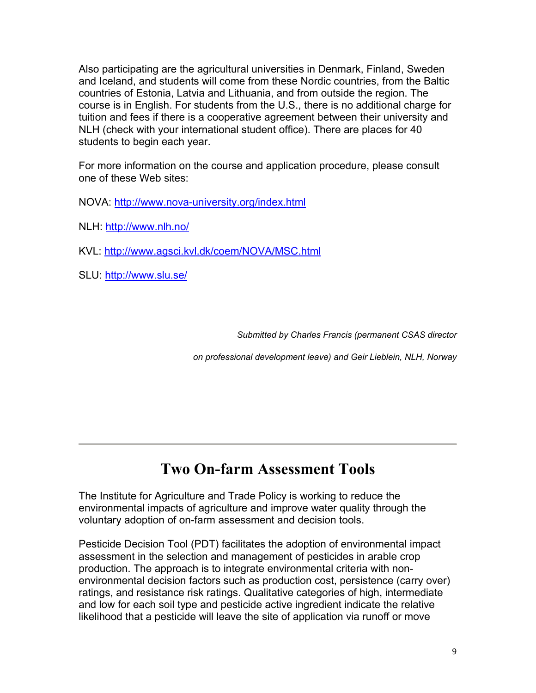Also participating are the agricultural universities in Denmark, Finland, Sweden and Iceland, and students will come from these Nordic countries, from the Baltic countries of Estonia, Latvia and Lithuania, and from outside the region. The course is in English. For students from the U.S., there is no additional charge for tuition and fees if there is a cooperative agreement between their university and NLH (check with your international student office). There are places for 40 students to begin each year.

For more information on the course and application procedure, please consult one of these Web sites:

NOVA: http://www.nova-university.org/index.html

NLH: http://www.nlh.no/

KVL: http://www.agsci.kvl.dk/coem/NOVA/MSC.html

SLU: http://www.slu.se/

*Submitted by Charles Francis (permanent CSAS director*

*on professional development leave) and Geir Lieblein, NLH, Norway*

# **Two On-farm Assessment Tools**

The Institute for Agriculture and Trade Policy is working to reduce the environmental impacts of agriculture and improve water quality through the voluntary adoption of on-farm assessment and decision tools.

Pesticide Decision Tool (PDT) facilitates the adoption of environmental impact assessment in the selection and management of pesticides in arable crop production. The approach is to integrate environmental criteria with nonenvironmental decision factors such as production cost, persistence (carry over) ratings, and resistance risk ratings. Qualitative categories of high, intermediate and low for each soil type and pesticide active ingredient indicate the relative likelihood that a pesticide will leave the site of application via runoff or move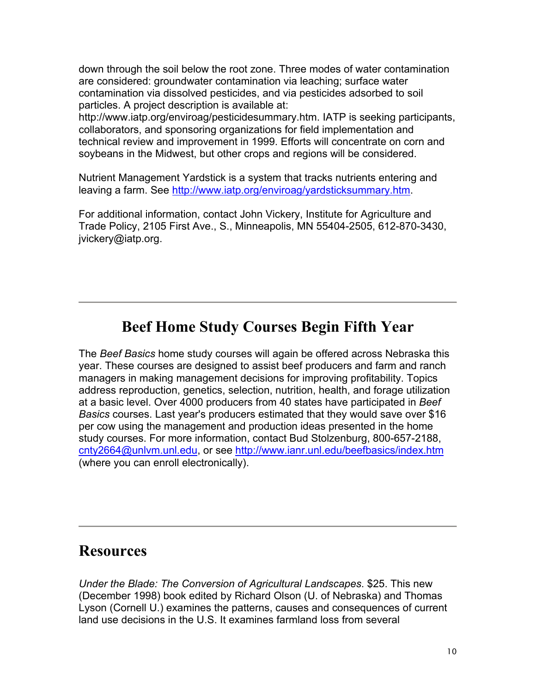down through the soil below the root zone. Three modes of water contamination are considered: groundwater contamination via leaching; surface water contamination via dissolved pesticides, and via pesticides adsorbed to soil particles. A project description is available at:

http://www.iatp.org/enviroag/pesticidesummary.htm. IATP is seeking participants, collaborators, and sponsoring organizations for field implementation and technical review and improvement in 1999. Efforts will concentrate on corn and soybeans in the Midwest, but other crops and regions will be considered.

Nutrient Management Yardstick is a system that tracks nutrients entering and leaving a farm. See http://www.iatp.org/enviroag/yardsticksummary.htm.

For additional information, contact John Vickery, Institute for Agriculture and Trade Policy, 2105 First Ave., S., Minneapolis, MN 55404-2505, 612-870-3430, jvickery@iatp.org.

### **Beef Home Study Courses Begin Fifth Year**

The *Beef Basics* home study courses will again be offered across Nebraska this year. These courses are designed to assist beef producers and farm and ranch managers in making management decisions for improving profitability. Topics address reproduction, genetics, selection, nutrition, health, and forage utilization at a basic level. Over 4000 producers from 40 states have participated in *Beef Basics* courses. Last year's producers estimated that they would save over \$16 per cow using the management and production ideas presented in the home study courses. For more information, contact Bud Stolzenburg, 800-657-2188, cnty2664@unlvm.unl.edu, or see http://www.ianr.unl.edu/beefbasics/index.htm (where you can enroll electronically).

### **Resources**

*Under the Blade: The Conversion of Agricultural Landscapes*. \$25. This new (December 1998) book edited by Richard Olson (U. of Nebraska) and Thomas Lyson (Cornell U.) examines the patterns, causes and consequences of current land use decisions in the U.S. It examines farmland loss from several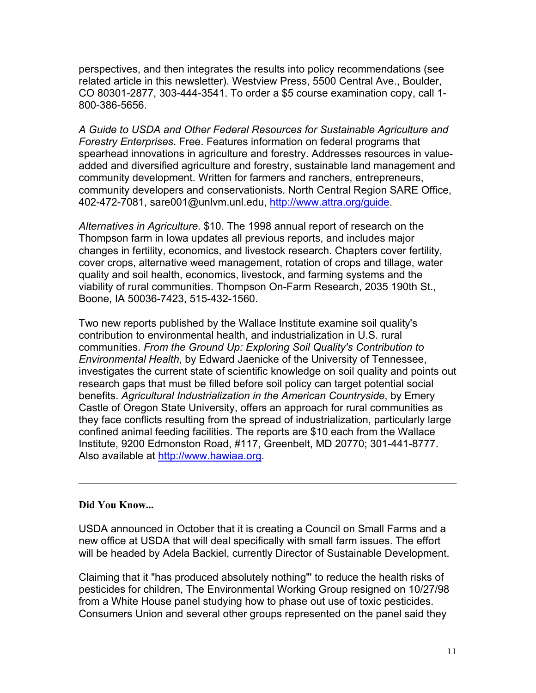perspectives, and then integrates the results into policy recommendations (see related article in this newsletter). Westview Press, 5500 Central Ave., Boulder, CO 80301-2877, 303-444-3541. To order a \$5 course examination copy, call 1- 800-386-5656.

*A Guide to USDA and Other Federal Resources for Sustainable Agriculture and Forestry Enterprises*. Free. Features information on federal programs that spearhead innovations in agriculture and forestry. Addresses resources in valueadded and diversified agriculture and forestry, sustainable land management and community development. Written for farmers and ranchers, entrepreneurs, community developers and conservationists. North Central Region SARE Office, 402-472-7081, sare001@unlvm.unl.edu, http://www.attra.org/guide.

*Alternatives in Agriculture*. \$10. The 1998 annual report of research on the Thompson farm in Iowa updates all previous reports, and includes major changes in fertility, economics, and livestock research. Chapters cover fertility, cover crops, alternative weed management, rotation of crops and tillage, water quality and soil health, economics, livestock, and farming systems and the viability of rural communities. Thompson On-Farm Research, 2035 190th St., Boone, IA 50036-7423, 515-432-1560.

Two new reports published by the Wallace Institute examine soil quality's contribution to environmental health, and industrialization in U.S. rural communities. *From the Ground Up: Exploring Soil Quality's Contribution to Environmental Health*, by Edward Jaenicke of the University of Tennessee, investigates the current state of scientific knowledge on soil quality and points out research gaps that must be filled before soil policy can target potential social benefits. *Agricultural Industrialization in the American Countryside*, by Emery Castle of Oregon State University, offers an approach for rural communities as they face conflicts resulting from the spread of industrialization, particularly large confined animal feeding facilities. The reports are \$10 each from the Wallace Institute, 9200 Edmonston Road, #117, Greenbelt, MD 20770; 301-441-8777. Also available at http://www.hawiaa.org.

#### **Did You Know...**

USDA announced in October that it is creating a Council on Small Farms and a new office at USDA that will deal specifically with small farm issues. The effort will be headed by Adela Backiel, currently Director of Sustainable Development.

Claiming that it "has produced absolutely nothing"' to reduce the health risks of pesticides for children, The Environmental Working Group resigned on 10/27/98 from a White House panel studying how to phase out use of toxic pesticides. Consumers Union and several other groups represented on the panel said they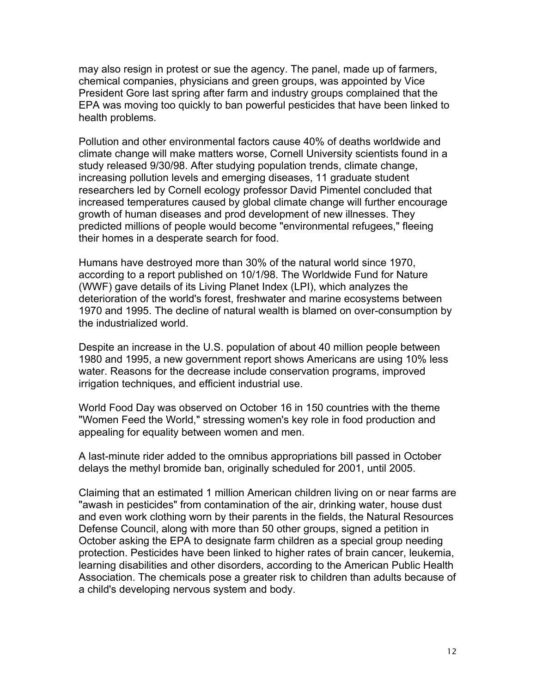may also resign in protest or sue the agency. The panel, made up of farmers, chemical companies, physicians and green groups, was appointed by Vice President Gore last spring after farm and industry groups complained that the EPA was moving too quickly to ban powerful pesticides that have been linked to health problems.

Pollution and other environmental factors cause 40% of deaths worldwide and climate change will make matters worse, Cornell University scientists found in a study released 9/30/98. After studying population trends, climate change, increasing pollution levels and emerging diseases, 11 graduate student researchers led by Cornell ecology professor David Pimentel concluded that increased temperatures caused by global climate change will further encourage growth of human diseases and prod development of new illnesses. They predicted millions of people would become "environmental refugees," fleeing their homes in a desperate search for food.

Humans have destroyed more than 30% of the natural world since 1970, according to a report published on 10/1/98. The Worldwide Fund for Nature (WWF) gave details of its Living Planet Index (LPI), which analyzes the deterioration of the world's forest, freshwater and marine ecosystems between 1970 and 1995. The decline of natural wealth is blamed on over-consumption by the industrialized world.

Despite an increase in the U.S. population of about 40 million people between 1980 and 1995, a new government report shows Americans are using 10% less water. Reasons for the decrease include conservation programs, improved irrigation techniques, and efficient industrial use.

World Food Day was observed on October 16 in 150 countries with the theme "Women Feed the World," stressing women's key role in food production and appealing for equality between women and men.

A last-minute rider added to the omnibus appropriations bill passed in October delays the methyl bromide ban, originally scheduled for 2001, until 2005.

Claiming that an estimated 1 million American children living on or near farms are "awash in pesticides" from contamination of the air, drinking water, house dust and even work clothing worn by their parents in the fields, the Natural Resources Defense Council, along with more than 50 other groups, signed a petition in October asking the EPA to designate farm children as a special group needing protection. Pesticides have been linked to higher rates of brain cancer, leukemia, learning disabilities and other disorders, according to the American Public Health Association. The chemicals pose a greater risk to children than adults because of a child's developing nervous system and body.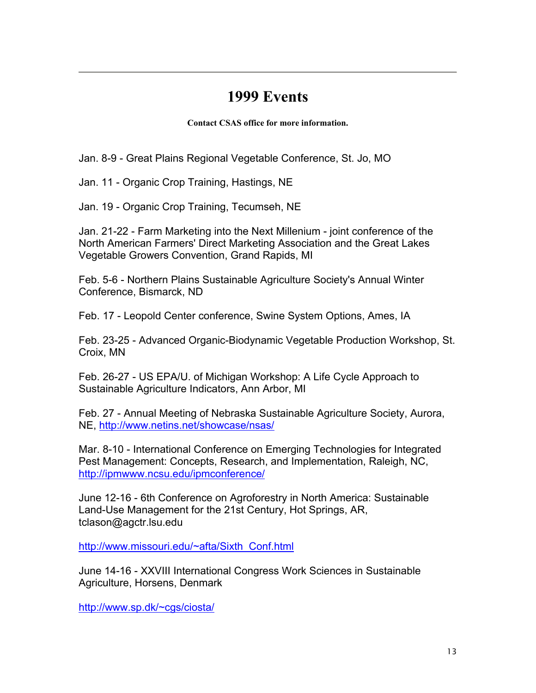### **1999 Events**

**Contact CSAS office for more information.**

Jan. 8-9 - Great Plains Regional Vegetable Conference, St. Jo, MO

Jan. 11 - Organic Crop Training, Hastings, NE

Jan. 19 - Organic Crop Training, Tecumseh, NE

Jan. 21-22 - Farm Marketing into the Next Millenium - joint conference of the North American Farmers' Direct Marketing Association and the Great Lakes Vegetable Growers Convention, Grand Rapids, MI

Feb. 5-6 - Northern Plains Sustainable Agriculture Society's Annual Winter Conference, Bismarck, ND

Feb. 17 - Leopold Center conference, Swine System Options, Ames, IA

Feb. 23-25 - Advanced Organic-Biodynamic Vegetable Production Workshop, St. Croix, MN

Feb. 26-27 - US EPA/U. of Michigan Workshop: A Life Cycle Approach to Sustainable Agriculture Indicators, Ann Arbor, MI

Feb. 27 - Annual Meeting of Nebraska Sustainable Agriculture Society, Aurora, NE, http://www.netins.net/showcase/nsas/

Mar. 8-10 - International Conference on Emerging Technologies for Integrated Pest Management: Concepts, Research, and Implementation, Raleigh, NC, http://ipmwww.ncsu.edu/ipmconference/

June 12-16 - 6th Conference on Agroforestry in North America: Sustainable Land-Use Management for the 21st Century, Hot Springs, AR, tclason@agctr.lsu.edu

http://www.missouri.edu/~afta/Sixth\_Conf.html

June 14-16 - XXVIII International Congress Work Sciences in Sustainable Agriculture, Horsens, Denmark

http://www.sp.dk/~cgs/ciosta/